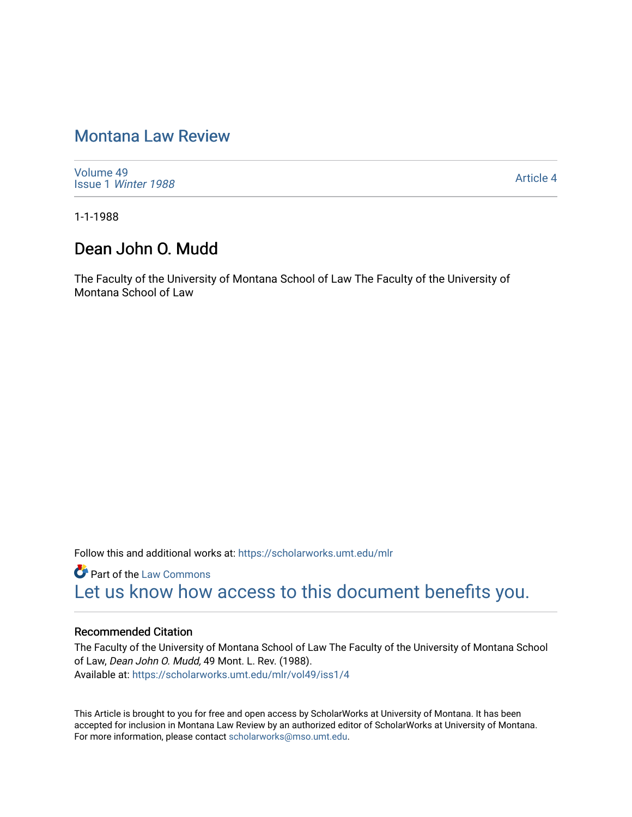# [Montana Law Review](https://scholarworks.umt.edu/mlr)

[Volume 49](https://scholarworks.umt.edu/mlr/vol49) Issue 1 [Winter 1988](https://scholarworks.umt.edu/mlr/vol49/iss1) 

[Article 4](https://scholarworks.umt.edu/mlr/vol49/iss1/4) 

1-1-1988

## Dean John O. Mudd

The Faculty of the University of Montana School of Law The Faculty of the University of Montana School of Law

Follow this and additional works at: [https://scholarworks.umt.edu/mlr](https://scholarworks.umt.edu/mlr?utm_source=scholarworks.umt.edu%2Fmlr%2Fvol49%2Fiss1%2F4&utm_medium=PDF&utm_campaign=PDFCoverPages) 

**Part of the [Law Commons](http://network.bepress.com/hgg/discipline/578?utm_source=scholarworks.umt.edu%2Fmlr%2Fvol49%2Fiss1%2F4&utm_medium=PDF&utm_campaign=PDFCoverPages)** [Let us know how access to this document benefits you.](https://goo.gl/forms/s2rGfXOLzz71qgsB2) 

#### Recommended Citation

The Faculty of the University of Montana School of Law The Faculty of the University of Montana School of Law, Dean John O. Mudd, 49 Mont. L. Rev. (1988). Available at: [https://scholarworks.umt.edu/mlr/vol49/iss1/4](https://scholarworks.umt.edu/mlr/vol49/iss1/4?utm_source=scholarworks.umt.edu%2Fmlr%2Fvol49%2Fiss1%2F4&utm_medium=PDF&utm_campaign=PDFCoverPages) 

This Article is brought to you for free and open access by ScholarWorks at University of Montana. It has been accepted for inclusion in Montana Law Review by an authorized editor of ScholarWorks at University of Montana. For more information, please contact [scholarworks@mso.umt.edu.](mailto:scholarworks@mso.umt.edu)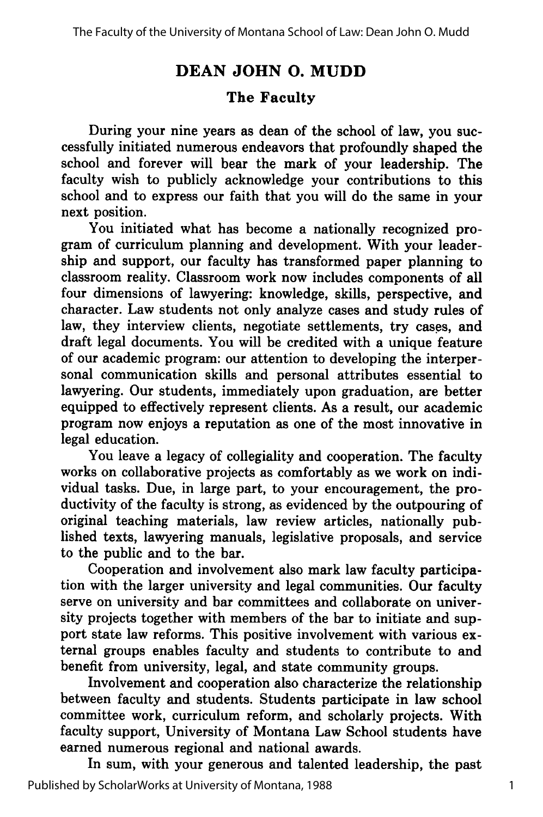### **DEAN JOHN 0. MUDD**

### **The Faculty**

During your nine years as dean of the school of law, you successfully initiated numerous endeavors that profoundly shaped the school and forever will bear the mark of your leadership. The faculty wish to publicly acknowledge your contributions to this school and to express our faith that you will do the same in your next position.

You initiated what has become a nationally recognized program of curriculum planning and development. With your leadership and support, our faculty has transformed paper planning to classroom reality. Classroom work now includes components of all four dimensions of lawyering: knowledge, skills, perspective, and character. Law students not only analyze cases and study rules of law, they interview clients, negotiate settlements, try cases, and draft legal documents. You will be credited with a unique feature of our academic program: our attention to developing the interpersonal communication skills and personal attributes essential to lawyering. Our students, immediately upon graduation, are better equipped to effectively represent clients. As a result, our academic program now enjoys a reputation as one of the most innovative in legal education.

You leave a legacy of collegiality and cooperation. The faculty works on collaborative projects as comfortably as we work on individual tasks. Due, in large part, to your encouragement, the productivity of the faculty is strong, as evidenced **by** the outpouring of original teaching materials, law review articles, nationally published texts, lawyering manuals, legislative proposals, and service to the public and to the bar.

Cooperation and involvement also mark law faculty participation with the larger university and legal communities. Our faculty serve on university and bar committees and collaborate on university projects together with members of the bar to initiate and support state law reforms. This positive involvement with various external groups enables faculty and students to contribute to and benefit from university, legal, and state community groups.

Involvement and cooperation also characterize the relationship between faculty and students. Students participate in law school committee work, curriculum reform, and scholarly projects. With faculty support, University of Montana Law School students have earned numerous regional and national awards.

In sum, with your generous and talented leadership, the past Published by ScholarWorks at University of Montana, 1988